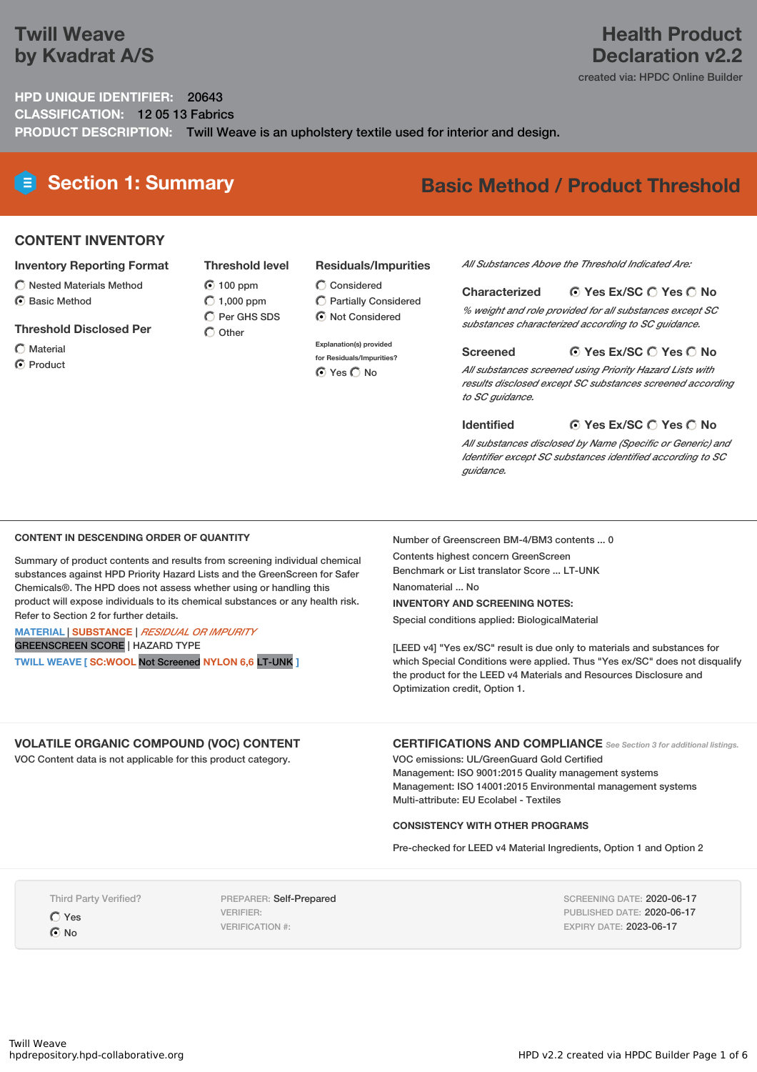## **Twill Weave by Kvadrat A/S**

## **Health Product Declaration v2.2**

created via: HPDC Online Builder

**HPD UNIQUE IDENTIFIER:** 20643 **CLASSIFICATION:** 12 05 13 Fabrics **PRODUCT DESCRIPTION:** Twill Weave is an upholstery textile used for interior and design.

# **Section 1: Summary Basic Method / Product Threshold**

### **CONTENT INVENTORY**

#### **Inventory Reporting Format**

- $\bigcirc$  Nested Materials Method
- **⊙** Basic Method

#### **Threshold Disclosed Per**

- Material
- **⊙** Product

### **Residuals/Impurities**

- $\bigcirc$  Considered Partially Considered
	- $\odot$  Not Considered

#### **Explanation(s) provided**

**for Residuals/Impurities? O** Yes O No

#### *All Substances Above the Threshold Indicated Are:*

#### **Yes Ex/SC Yes No Characterized**

*% weight and role provided for all substances except SC substances characterized according to SC guidance.*

#### **Yes Ex/SC Yes No Screened**

*All substances screened using Priority Hazard Lists with results disclosed except SC substances screened according to SC guidance.*

#### **Yes Ex/SC Yes No Identified**

*All substances disclosed by Name (Specific or Generic) and Identifier except SC substances identified according to SC guidance.*

#### **CONTENT IN DESCENDING ORDER OF QUANTITY**

Summary of product contents and results from screening individual chemical substances against HPD Priority Hazard Lists and the GreenScreen for Safer Chemicals®. The HPD does not assess whether using or handling this product will expose individuals to its chemical substances or any health risk. Refer to Section 2 for further details.

#### **MATERIAL** | **SUBSTANCE** | *RESIDUAL OR IMPURITY* GREENSCREEN SCORE | HAZARD TYPE

**TWILL WEAVE [ SC:WOOL** Not Screened **NYLON 6,6** LT-UNK **]**

Number of Greenscreen BM-4/BM3 contents ... 0 Contents highest concern GreenScreen Benchmark or List translator Score ... LT-UNK

Nanomaterial ... No

#### **INVENTORY AND SCREENING NOTES:**

Special conditions applied: BiologicalMaterial

[LEED v4] "Yes ex/SC" result is due only to materials and substances for which Special Conditions were applied. Thus "Yes ex/SC" does not disqualify the product for the LEED v4 Materials and Resources Disclosure and Optimization credit, Option 1.

### **VOLATILE ORGANIC COMPOUND (VOC) CONTENT**

VOC Content data is not applicable for this product category.

**CERTIFICATIONS AND COMPLIANCE** *See Section <sup>3</sup> for additional listings.*

VOC emissions: UL/GreenGuard Gold Certified Management: ISO 9001:2015 Quality management systems Management: ISO 14001:2015 Environmental management systems Multi-attribute: EU Ecolabel - Textiles

#### **CONSISTENCY WITH OTHER PROGRAMS**

Pre-checked for LEED v4 Material Ingredients, Option 1 and Option 2

Third Party Verified?

Yes

 $\odot$  No

PREPARER: Self-Prepared VERIFIER: VERIFICATION #:

SCREENING DATE: 2020-06-17 PUBLISHED DATE: 2020-06-17 EXPIRY DATE: 2023-06-17

### **Threshold level 100 ppm**  $O$  1,000 ppm  $\overline{O}$  Per GHS SDS

 $\bigcap$  Other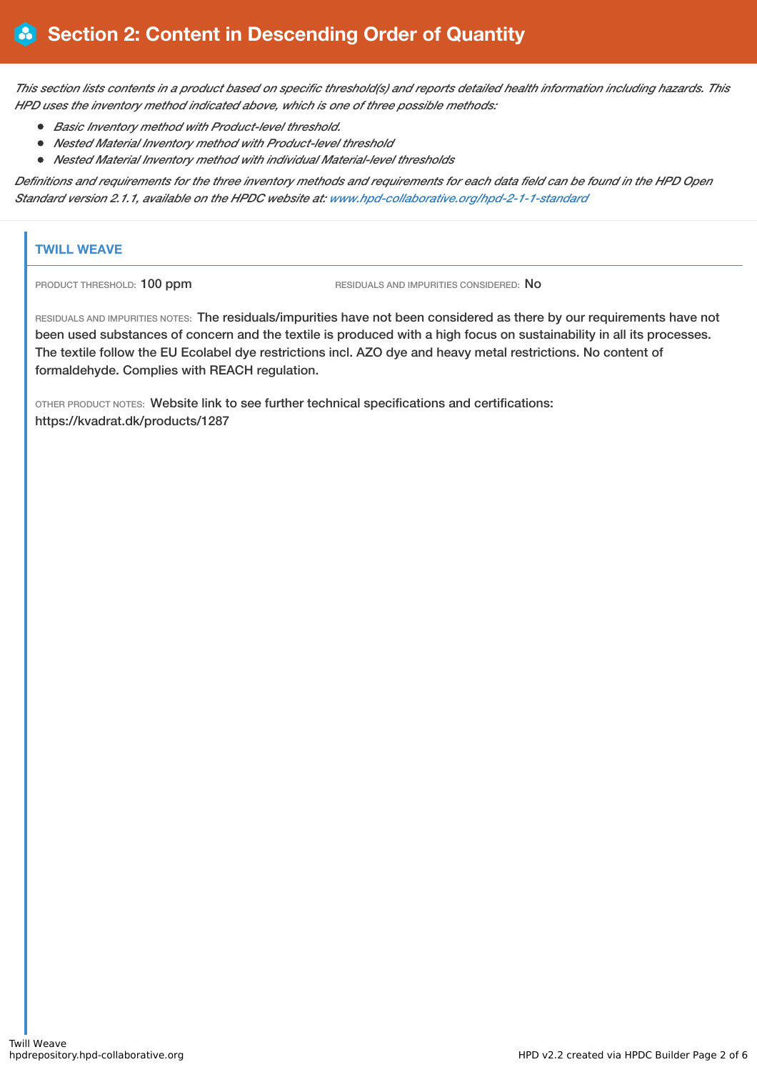This section lists contents in a product based on specific threshold(s) and reports detailed health information including hazards. This *HPD uses the inventory method indicated above, which is one of three possible methods:*

- *Basic Inventory method with Product-level threshold.*
- *Nested Material Inventory method with Product-level threshold*
- *Nested Material Inventory method with individual Material-level thresholds*

Definitions and requirements for the three inventory methods and requirements for each data field can be found in the HPD Open *Standard version 2.1.1, available on the HPDC website at: [www.hpd-collaborative.org/hpd-2-1-1-standard](https://www.hpd-collaborative.org/hpd-2-1-1-standard)*

### **TWILL WEAVE**

PRODUCT THRESHOLD: 100 ppm RESIDUALS AND IMPURITIES CONSIDERED: No

RESIDUALS AND IMPURITIES NOTES: The residuals/impurities have not been considered as there by our requirements have not been used substances of concern and the textile is produced with a high focus on sustainability in all its processes. The textile follow the EU Ecolabel dye restrictions incl. AZO dye and heavy metal restrictions. No content of formaldehyde. Complies with REACH regulation.

OTHER PRODUCT NOTES: Website link to see further technical specifications and certifications: https://kvadrat.dk/products/1287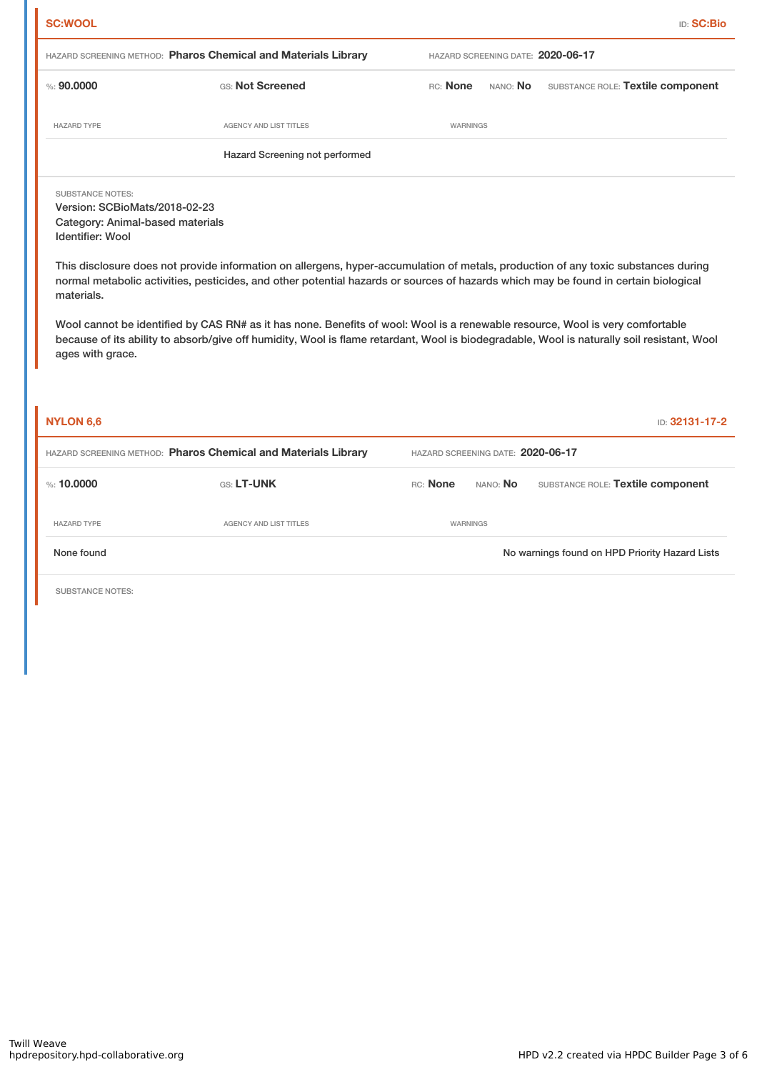| <b>SC:WOOL</b>                                                                                                                        |                                                                                                                                                                                                                                                                                                                                                                                                            |                                   |                 |                                                | <b>ID: SC:Bio</b> |
|---------------------------------------------------------------------------------------------------------------------------------------|------------------------------------------------------------------------------------------------------------------------------------------------------------------------------------------------------------------------------------------------------------------------------------------------------------------------------------------------------------------------------------------------------------|-----------------------------------|-----------------|------------------------------------------------|-------------------|
|                                                                                                                                       | HAZARD SCREENING METHOD: Pharos Chemical and Materials Library                                                                                                                                                                                                                                                                                                                                             |                                   |                 | HAZARD SCREENING DATE: 2020-06-17              |                   |
| % : 90,0000                                                                                                                           | GS: Not Screened                                                                                                                                                                                                                                                                                                                                                                                           | RC: None                          | NANO: No        | SUBSTANCE ROLE: Textile component              |                   |
| <b>HAZARD TYPE</b>                                                                                                                    | <b>AGENCY AND LIST TITLES</b>                                                                                                                                                                                                                                                                                                                                                                              | WARNINGS                          |                 |                                                |                   |
|                                                                                                                                       | Hazard Screening not performed                                                                                                                                                                                                                                                                                                                                                                             |                                   |                 |                                                |                   |
| <b>SUBSTANCE NOTES:</b><br>Version: SCBioMats/2018-02-23<br>Category: Animal-based materials<br><b>Identifier: Wool</b><br>materials. | This disclosure does not provide information on allergens, hyper-accumulation of metals, production of any toxic substances during<br>normal metabolic activities, pesticides, and other potential hazards or sources of hazards which may be found in certain biological<br>Wool cannot be identified by CAS RN# as it has none. Benefits of wool: Wool is a renewable resource, Wool is very comfortable |                                   |                 |                                                |                   |
| ages with grace.<br><b>NYLON 6,6</b>                                                                                                  | because of its ability to absorb/give off humidity, Wool is flame retardant, Wool is biodegradable, Wool is naturally soil resistant, Wool                                                                                                                                                                                                                                                                 |                                   |                 |                                                | ID: 32131-17-2    |
|                                                                                                                                       |                                                                                                                                                                                                                                                                                                                                                                                                            |                                   |                 |                                                |                   |
|                                                                                                                                       | HAZARD SCREENING METHOD: Pharos Chemical and Materials Library                                                                                                                                                                                                                                                                                                                                             | HAZARD SCREENING DATE: 2020-06-17 |                 |                                                |                   |
| %: 10,0000                                                                                                                            | GS: LT-UNK                                                                                                                                                                                                                                                                                                                                                                                                 | RC: None                          | NANO: <b>No</b> | SUBSTANCE ROLE: Textile component              |                   |
| <b>HAZARD TYPE</b>                                                                                                                    | AGENCY AND LIST TITLES                                                                                                                                                                                                                                                                                                                                                                                     |                                   | WARNINGS        |                                                |                   |
| None found                                                                                                                            |                                                                                                                                                                                                                                                                                                                                                                                                            |                                   |                 | No warnings found on HPD Priority Hazard Lists |                   |
| <b>SUBSTANCE NOTES:</b>                                                                                                               |                                                                                                                                                                                                                                                                                                                                                                                                            |                                   |                 |                                                |                   |
|                                                                                                                                       |                                                                                                                                                                                                                                                                                                                                                                                                            |                                   |                 |                                                |                   |
|                                                                                                                                       |                                                                                                                                                                                                                                                                                                                                                                                                            |                                   |                 |                                                |                   |
|                                                                                                                                       |                                                                                                                                                                                                                                                                                                                                                                                                            |                                   |                 |                                                |                   |
|                                                                                                                                       |                                                                                                                                                                                                                                                                                                                                                                                                            |                                   |                 |                                                |                   |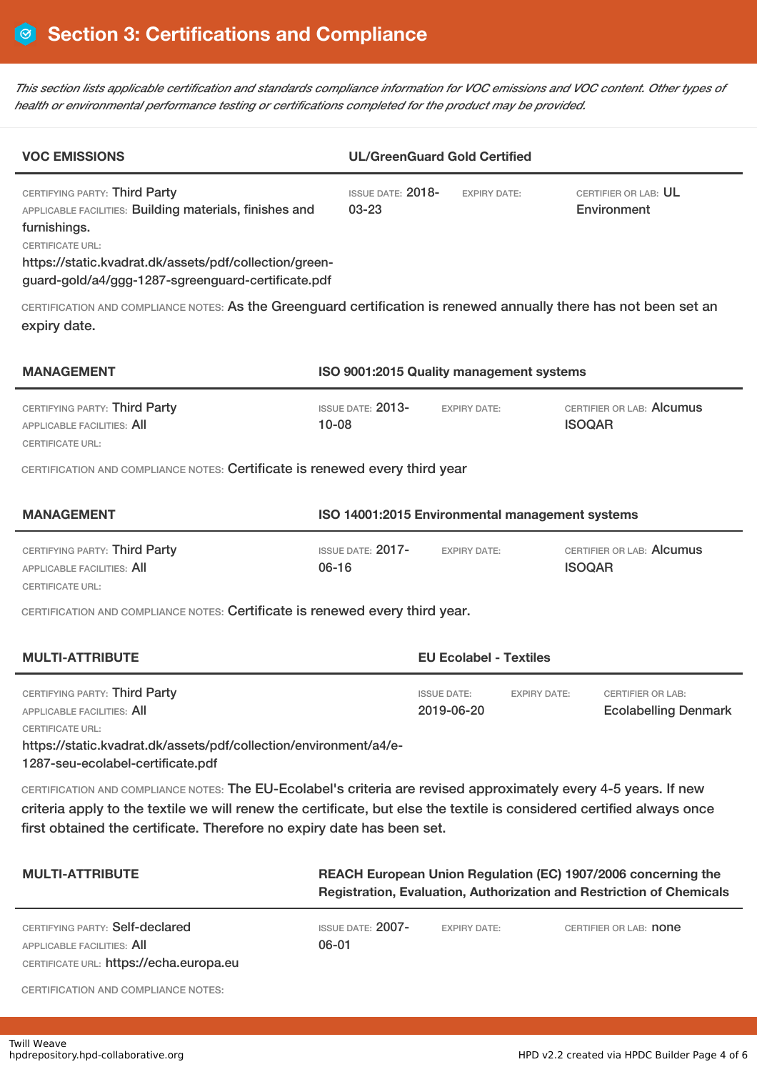This section lists applicable certification and standards compliance information for VOC emissions and VOC content. Other types of *health or environmental performance testing or certifications completed for the product may be provided.*

| <b>VOC EMISSIONS</b>                                                                                                                                                                                                                                                                                                |                                                                                                                                       | <b>UL/GreenGuard Gold Certified</b>                     |                                            |  |  |  |
|---------------------------------------------------------------------------------------------------------------------------------------------------------------------------------------------------------------------------------------------------------------------------------------------------------------------|---------------------------------------------------------------------------------------------------------------------------------------|---------------------------------------------------------|--------------------------------------------|--|--|--|
| CERTIFYING PARTY: Third Party<br>APPLICABLE FACILITIES: Building materials, finishes and<br>furnishings.<br><b>CERTIFICATE URL:</b><br>https://static.kvadrat.dk/assets/pdf/collection/green-<br>guard-gold/a4/ggg-1287-sgreenguard-certificate.pdf                                                                 | <b>ISSUE DATE: 2018-</b><br>$03 - 23$                                                                                                 | <b>EXPIRY DATE:</b>                                     | CERTIFIER OR LAB: UL<br>Environment        |  |  |  |
| CERTIFICATION AND COMPLIANCE NOTES: As the Greenguard certification is renewed annually there has not been set an<br>expiry date.                                                                                                                                                                                   |                                                                                                                                       |                                                         |                                            |  |  |  |
| <b>MANAGEMENT</b>                                                                                                                                                                                                                                                                                                   | ISO 9001:2015 Quality management systems                                                                                              |                                                         |                                            |  |  |  |
| CERTIFYING PARTY: Third Party<br><b>APPLICABLE FACILITIES: AII</b><br><b>CERTIFICATE URL:</b>                                                                                                                                                                                                                       | ISSUE DATE: 2013-<br>$10 - 08$                                                                                                        | <b>EXPIRY DATE:</b>                                     | CERTIFIER OR LAB: Alcumus<br><b>ISOQAR</b> |  |  |  |
| CERTIFICATION AND COMPLIANCE NOTES: Certificate is renewed every third year                                                                                                                                                                                                                                         |                                                                                                                                       |                                                         |                                            |  |  |  |
| <b>MANAGEMENT</b><br>ISO 14001:2015 Environmental management systems                                                                                                                                                                                                                                                |                                                                                                                                       |                                                         |                                            |  |  |  |
| CERTIFYING PARTY: Third Party<br>APPLICABLE FACILITIES: All<br>CERTIFICATE URL:                                                                                                                                                                                                                                     | <b>ISSUE DATE: 2017-</b><br>$06 - 16$                                                                                                 | <b>EXPIRY DATE:</b>                                     | CERTIFIER OR LAB: Alcumus<br><b>ISOQAR</b> |  |  |  |
| CERTIFICATION AND COMPLIANCE NOTES: Certificate is renewed every third year.                                                                                                                                                                                                                                        |                                                                                                                                       |                                                         |                                            |  |  |  |
| <b>MULTI-ATTRIBUTE</b>                                                                                                                                                                                                                                                                                              | <b>EU Ecolabel - Textiles</b>                                                                                                         |                                                         |                                            |  |  |  |
| CERTIFYING PARTY: Third Party<br>APPLICABLE FACILITIES: All<br><b>CERTIFICATE URL:</b><br>https://static.kvadrat.dk/assets/pdf/collection/environment/a4/e-<br>1287-seu-ecolabel-certificate.pdf                                                                                                                    | <b>ISSUE DATE:</b><br><b>EXPIRY DATE:</b><br>2019-06-20                                                                               | <b>CERTIFIER OR LAB:</b><br><b>Ecolabelling Denmark</b> |                                            |  |  |  |
| CERTIFICATION AND COMPLIANCE NOTES: The EU-Ecolabel's criteria are revised approximately every 4-5 years. If new<br>criteria apply to the textile we will renew the certificate, but else the textile is considered certified always once<br>first obtained the certificate. Therefore no expiry date has been set. |                                                                                                                                       |                                                         |                                            |  |  |  |
| <b>MULTI-ATTRIBUTE</b>                                                                                                                                                                                                                                                                                              | REACH European Union Regulation (EC) 1907/2006 concerning the<br>Registration, Evaluation, Authorization and Restriction of Chemicals |                                                         |                                            |  |  |  |
| CERTIFYING PARTY: Self-declared<br>APPLICABLE FACILITIES: AII<br>CERTIFICATE URL: https://echa.europa.eu                                                                                                                                                                                                            | ISSUE DATE: 2007-<br>$06 - 01$                                                                                                        | <b>EXPIRY DATE:</b>                                     | CERTIFIER OR LAB: <b>none</b>              |  |  |  |

CERTIFICATION AND COMPLIANCE NOTES: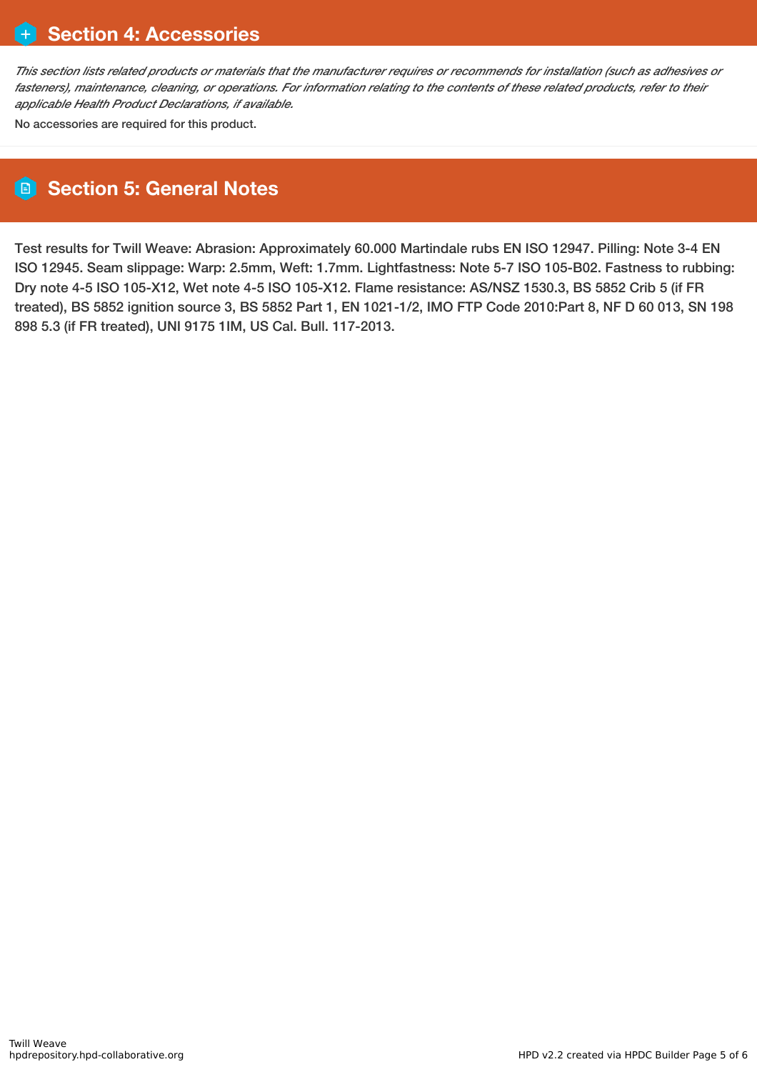This section lists related products or materials that the manufacturer requires or recommends for installation (such as adhesives or fasteners), maintenance, cleaning, or operations. For information relating to the contents of these related products, refer to their *applicable Health Product Declarations, if available.*

No accessories are required for this product.

## **Section 5: General Notes**

Test results for Twill Weave: Abrasion: Approximately 60.000 Martindale rubs EN ISO 12947. Pilling: Note 3-4 EN ISO 12945. Seam slippage: Warp: 2.5mm, Weft: 1.7mm. Lightfastness: Note 5-7 ISO 105-B02. Fastness to rubbing: Dry note 4-5 ISO 105-X12, Wet note 4-5 ISO 105-X12. Flame resistance: AS/NSZ 1530.3, BS 5852 Crib 5 (if FR treated), BS 5852 ignition source 3, BS 5852 Part 1, EN 1021-1/2, IMO FTP Code 2010:Part 8, NF D 60 013, SN 198 898 5.3 (if FR treated), UNI 9175 1IM, US Cal. Bull. 117-2013.